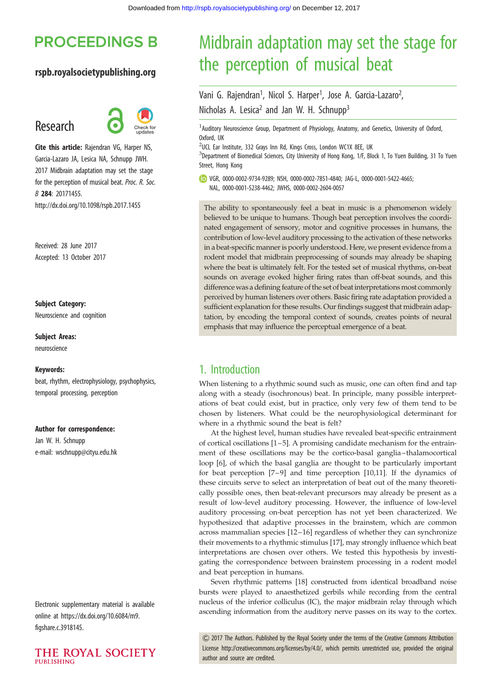# **PROCEEDINGS B**

### rspb.royalsocietypublishing.org

# Research



Cite this article: Rajendran VG, Harper NS, Garcia-Lazaro JA, Lesica NA, Schnupp JWH. 2017 Midbrain adaptation may set the stage for the perception of musical beat. Proc. R. Soc. B 284: 20171455. http://dx.doi.org/10.1098/rspb.2017.1455

Received: 28 June 2017 Accepted: 13 October 2017

#### Subject Category:

Neuroscience and cognition

#### Subject Areas:

neuroscience

#### Keywords:

beat, rhythm, electrophysiology, psychophysics, temporal processing, perception

#### Author for correspondence:

Jan W. H. Schnupp e-mail: [wschnupp@cityu.edu.hk](mailto:wschnupp@cityu.edu.hk)

Electronic supplementary material is available online at [https://dx.doi.org/10.6084/m9.](https://dx.doi.org/10.6084/m9.figshare.c.3918145) [figshare.c.3918145](https://dx.doi.org/10.6084/m9.figshare.c.3918145).



# Midbrain adaptation may set the stage for the perception of musical beat

Vani G. Rajendran<sup>1</sup>, Nicol S. Harper<sup>1</sup>, Jose A. Garcia-Lazaro<sup>2</sup> .<br>י Nicholas A. Lesica<sup>2</sup> and Jan W. H. Schnupp<sup>3</sup>

<sup>1</sup> Auditory Neuroscience Group, Department of Physiology, Anatomy, and Genetics, University of Oxford, Oxford, UK

<sup>2</sup>UCL Ear Institute, 332 Grays Inn Rd, Kings Cross, London WC1X 8EE, UK

<sup>3</sup>Department of Biomedical Sciences, City University of Hong Kong, 1/F, Block 1, To Yuen Building, 31 To Yuen Street, Hong Kong

VGR, [0000-0002-9734-9289;](http://orcid.org/0000-0002-9734-9289) NSH, [0000-0002-7851-4840;](http://orcid.org/0000-0002-7851-4840) JAG-L, [0000-0001-5422-4665](http://orcid.org/0000-0001-5422-4665); NAL, [0000-0001-5238-4462;](http://orcid.org/0000-0001-5238-4462) JWHS, [0000-0002-2604-0057](http://orcid.org/0000-0002-2604-0057)

The ability to spontaneously feel a beat in music is a phenomenon widely believed to be unique to humans. Though beat perception involves the coordinated engagement of sensory, motor and cognitive processes in humans, the contribution of low-level auditory processing to the activation of these networks in a beat-specific manner is poorly understood. Here, we present evidence from a rodent model that midbrain preprocessing of sounds may already be shaping where the beat is ultimately felt. For the tested set of musical rhythms, on-beat sounds on average evoked higher firing rates than off-beat sounds, and this differencewas a defining feature of the set of beat interpretations most commonly perceived by human listeners over others. Basic firing rate adaptation provided a sufficient explanation for these results. Our findings suggest that midbrain adaptation, by encoding the temporal context of sounds, creates points of neural emphasis that may influence the perceptual emergence of a beat.

# 1. Introduction

When listening to a rhythmic sound such as music, one can often find and tap along with a steady (isochronous) beat. In principle, many possible interpretations of beat could exist, but in practice, only very few of them tend to be chosen by listeners. What could be the neurophysiological determinant for where in a rhythmic sound the beat is felt?

At the highest level, human studies have revealed beat-specific entrainment of cortical oscillations [\[1](#page-7-0)–[5](#page-7-0)]. A promising candidate mechanism for the entrainment of these oscillations may be the cortico-basal ganglia – thalamocortical loop [[6](#page-7-0)], of which the basal ganglia are thought to be particularly important for beat perception [\[7](#page-7-0)–[9](#page-7-0)] and time perception [\[10](#page-7-0),[11\]](#page-8-0). If the dynamics of these circuits serve to select an interpretation of beat out of the many theoretically possible ones, then beat-relevant precursors may already be present as a result of low-level auditory processing. However, the influence of low-level auditory processing on-beat perception has not yet been characterized. We hypothesized that adaptive processes in the brainstem, which are common across mammalian species [[12](#page-8-0)–[16](#page-8-0)] regardless of whether they can synchronize their movements to a rhythmic stimulus [\[17](#page-8-0)], may strongly influence which beat interpretations are chosen over others. We tested this hypothesis by investigating the correspondence between brainstem processing in a rodent model and beat perception in humans.

Seven rhythmic patterns [\[18](#page-8-0)] constructed from identical broadband noise bursts were played to anaesthetized gerbils while recording from the central nucleus of the inferior colliculus (IC), the major midbrain relay through which ascending information from the auditory nerve passes on its way to the cortex.

& 2017 The Authors. Published by the Royal Society under the terms of the Creative Commons Attribution License [http://creativecommons.org/licenses/by/4.0/, which permits unrestricted use, provided the original](http://creativecommons.org/licenses/by/4.0/) [author and source are credited.](http://creativecommons.org/licenses/by/4.0/)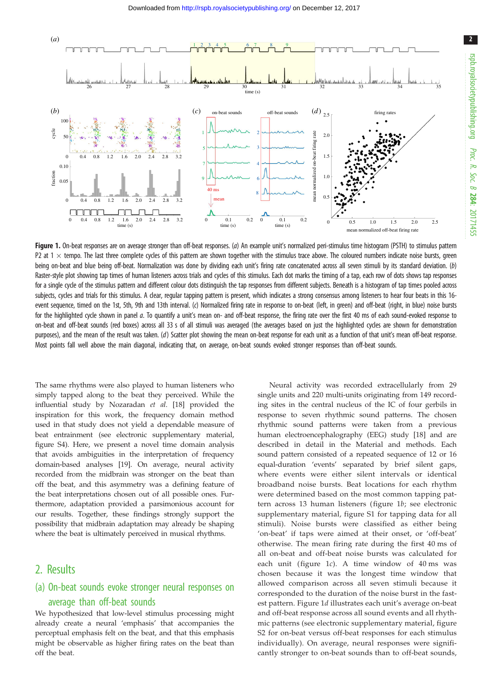<span id="page-1-0"></span>

Figure 1. On-beat responses are on average stronger than off-beat responses. (a) An example unit's normalized peri-stimulus time histogram (PSTH) to stimulus pattern P2 at  $1 \times$  tempo. The last three complete cycles of this pattern are shown together with the stimulus trace above. The coloured numbers indicate noise bursts, green being on-beat and blue being off-beat. Normalization was done by dividing each unit's firing rate concatenated across all seven stimuli by its standard deviation. (b) Raster-style plot showing tap times of human listeners across trials and cycles of this stimulus. Each dot marks the timing of a tap, each row of dots shows tap responses for a single cycle of the stimulus pattern and different colour dots distinguish the tap responses from different subjects. Beneath is a histogram of tap times pooled across subjects, cycles and trials for this stimulus. A clear, reqular tapping pattern is present, which indicates a strong consensus among listeners to hear four beats in this 16event sequence, timed on the 1st, 5th, 9th and 13th interval. (c) Normalized firing rate in response to on-beat (left, in green) and off-beat (right, in blue) noise bursts for the highlighted cycle shown in panel a. To quantify a unit's mean on- and off-beat response, the firing rate over the first 40 ms of each sound-evoked response to on-beat and off-beat sounds (red boxes) across all 33 s of all stimuli was averaged (the averages based on just the highlighted cycles are shown for demonstration purposes), and the mean of the result was taken. (d) Scatter plot showing the mean on-beat response for each unit as a function of that unit's mean off-beat response. Most points fall well above the main diagonal, indicating that, on average, on-beat sounds evoked stronger responses than off-beat sounds.

The same rhythms were also played to human listeners who simply tapped along to the beat they perceived. While the influential study by Nozaradan et al. [[18\]](#page-8-0) provided the inspiration for this work, the frequency domain method used in that study does not yield a dependable measure of beat entrainment (see electronic supplementary material, figure S4). Here, we present a novel time domain analysis that avoids ambiguities in the interpretation of frequency domain-based analyses [\[19\]](#page-8-0). On average, neural activity recorded from the midbrain was stronger on the beat than off the beat, and this asymmetry was a defining feature of the beat interpretations chosen out of all possible ones. Furthermore, adaptation provided a parsimonious account for our results. Together, these findings strongly support the possibility that midbrain adaptation may already be shaping where the beat is ultimately perceived in musical rhythms.

### 2. Results

# (a) On-beat sounds evoke stronger neural responses on average than off-beat sounds

We hypothesized that low-level stimulus processing might already create a neural 'emphasis' that accompanies the perceptual emphasis felt on the beat, and that this emphasis might be observable as higher firing rates on the beat than off the beat.

Neural activity was recorded extracellularly from 29 single units and 220 multi-units originating from 149 recording sites in the central nucleus of the IC of four gerbils in response to seven rhythmic sound patterns. The chosen rhythmic sound patterns were taken from a previous human electroencephalography (EEG) study [\[18](#page-8-0)] and are described in detail in the Material and methods. Each sound pattern consisted of a repeated sequence of 12 or 16 equal-duration 'events' separated by brief silent gaps, where events were either silent intervals or identical broadband noise bursts. Beat locations for each rhythm were determined based on the most common tapping pattern across 13 human listeners ( figure 1b; see electronic supplementary material, figure S1 for tapping data for all stimuli). Noise bursts were classified as either being 'on-beat' if taps were aimed at their onset, or 'off-beat' otherwise. The mean firing rate during the first 40 ms of all on-beat and off-beat noise bursts was calculated for each unit (figure 1c). A time window of  $40 \text{ ms}$  was chosen because it was the longest time window that allowed comparison across all seven stimuli because it corresponded to the duration of the noise burst in the fastest pattern. Figure 1d illustrates each unit's average on-beat and off-beat response across all sound events and all rhythmic patterns (see electronic supplementary material, figure S2 for on-beat versus off-beat responses for each stimulus individually). On average, neural responses were significantly stronger to on-beat sounds than to off-beat sounds,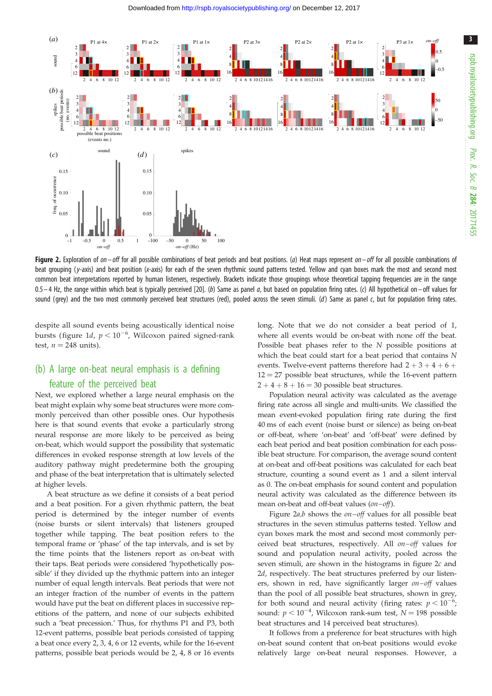3

<span id="page-2-0"></span>

**Figure 2.** Exploration of on – off for all possible combinations of beat periods and beat positions. (a) Heat maps represent on – off for all possible combinations of beat grouping (y-axis) and beat position (x-axis) for each of the seven rhythmic sound patterns tested. Yellow and cyan boxes mark the most and second most common beat interpretations reported by human listeners, respectively. Brackets indicate those groupings whose theoretical tapping frequencies are in the range  $0.5 - 4$  Hz, the range within which beat is typically perceived [\[20\]](#page-8-0). (b) Same as panel a, but based on population firing rates. (c) All hypothetical on – off values for sound (grey) and the two most commonly perceived beat structures (red), pooled across the seven stimuli. (d) Same as panel  $c$ , but for population firing rates.

despite all sound events being acoustically identical noise bursts (figure  $1d$ ,  $p < 10^{-6}$ , Wilcoxon paired signed-rank test,  $n = 248$  units).

# (b) A large on-beat neural emphasis is a defining feature of the perceived beat

Next, we explored whether a large neural emphasis on the beat might explain why some beat structures were more commonly perceived than other possible ones. Our hypothesis here is that sound events that evoke a particularly strong neural response are more likely to be perceived as being on-beat, which would support the possibility that systematic differences in evoked response strength at low levels of the auditory pathway might predetermine both the grouping and phase of the beat interpretation that is ultimately selected at higher levels.

A beat structure as we define it consists of a beat period and a beat position. For a given rhythmic pattern, the beat period is determined by the integer number of events (noise bursts or silent intervals) that listeners grouped together while tapping. The beat position refers to the temporal frame or 'phase' of the tap intervals, and is set by the time points that the listeners report as on-beat with their taps. Beat periods were considered 'hypothetically possible' if they divided up the rhythmic pattern into an integer number of equal length intervals. Beat periods that were not an integer fraction of the number of events in the pattern would have put the beat on different places in successive repetitions of the pattern, and none of our subjects exhibited such a 'beat precession.' Thus, for rhythms P1 and P3, both 12-event patterns, possible beat periods consisted of tapping a beat once every 2, 3, 4, 6 or 12 events, while for the 16-event patterns, possible beat periods would be 2, 4, 8 or 16 events long. Note that we do not consider a beat period of 1, where all events would be on-beat with none off the beat. Possible beat phases refer to the N possible positions at which the beat could start for a beat period that contains N events. Twelve-event patterns therefore had  $2 + 3 + 4 + 6 +$  $12 = 27$  possible beat structures, while the 16-event pattern  $2 + 4 + 8 + 16 = 30$  possible beat structures.

Population neural activity was calculated as the average firing rate across all single and multi-units. We classified the mean event-evoked population firing rate during the first 40 ms of each event (noise burst or silence) as being on-beat or off-beat, where 'on-beat' and 'off-beat' were defined by each beat period and beat position combination for each possible beat structure. For comparison, the average sound content at on-beat and off-beat positions was calculated for each beat structure, counting a sound event as 1 and a silent interval as 0. The on-beat emphasis for sound content and population neural activity was calculated as the difference between its mean on-beat and off-beat values (on-off).

Figure  $2a,b$  shows the  $on$ -off values for all possible beat structures in the seven stimulus patterns tested. Yellow and cyan boxes mark the most and second most commonly perceived beat structures, respectively. All  $on-off$  values for sound and population neural activity, pooled across the seven stimuli, are shown in the histograms in figure 2c and 2d, respectively. The beat structures preferred by our listeners, shown in red, have significantly larger  $on-off$  values than the pool of all possible beat structures, shown in grey, for both sound and neural activity (firing rates:  $p < 10^{-6}$ ) sound:  $p < 10^{-4}$ , Wilcoxon rank-sum test,  $N = 198$  possible beat structures and 14 perceived beat structures).

It follows from a preference for beat structures with high on-beat sound content that on-beat positions would evoke relatively large on-beat neural responses. However, a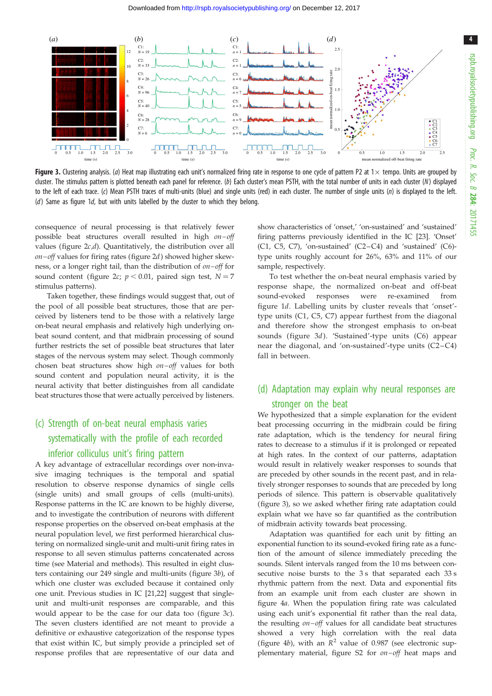

Figure 3. Clustering analysis. (a) Heat map illustrating each unit's normalized firing rate in response to one cycle of pattern P2 at  $1\times$  tempo. Units are grouped by cluster. The stimulus pattern is plotted beneath each panel for reference. (b) Each cluster's mean PSTH, with the total number of units in each cluster (N) displayed to the left of each trace. (c) Mean PSTH traces of multi-units (blue) and single units (red) in each cluster. The number of single units (n) is displayed to the left. (d) Same as [figure 1](#page-1-0)d, but with units labelled by the cluster to which they belong.

consequence of neural processing is that relatively fewer possible beat structures overall resulted in high on-off values (figure  $2c,d$ ). Quantitatively, the distribution over all on –off values for firing rates [\(figure 2](#page-2-0)d) showed higher skewness, or a longer right tail, than the distribution of on–off for sound content [\(figure 2](#page-2-0)c;  $p < 0.01$ , paired sign test,  $N = 7$ stimulus patterns).

Taken together, these findings would suggest that, out of the pool of all possible beat structures, those that are perceived by listeners tend to be those with a relatively large on-beat neural emphasis and relatively high underlying onbeat sound content, and that midbrain processing of sound further restricts the set of possible beat structures that later stages of the nervous system may select. Though commonly chosen beat structures show high  $on$ -off values for both sound content and population neural activity, it is the neural activity that better distinguishes from all candidate beat structures those that were actually perceived by listeners.

# (c) Strength of on-beat neural emphasis varies systematically with the profile of each recorded inferior colliculus unit's firing pattern

A key advantage of extracellular recordings over non-invasive imaging techniques is the temporal and spatial resolution to observe response dynamics of single cells (single units) and small groups of cells (multi-units). Response patterns in the IC are known to be highly diverse, and to investigate the contribution of neurons with different response properties on the observed on-beat emphasis at the neural population level, we first performed hierarchical clustering on normalized single-unit and multi-unit firing rates in response to all seven stimulus patterns concatenated across time (see Material and methods). This resulted in eight clusters containing our 249 single and multi-units (figure 3b), of which one cluster was excluded because it contained only one unit. Previous studies in IC [[21,22\]](#page-8-0) suggest that singleunit and multi-unit responses are comparable, and this would appear to be the case for our data too (figure 3c). The seven clusters identified are not meant to provide a definitive or exhaustive categorization of the response types that exist within IC, but simply provide a principled set of response profiles that are representative of our data and

show characteristics of 'onset,' 'on-sustained' and 'sustained' firing patterns previously identified in the IC [\[23\]](#page-8-0). 'Onset' (C1, C5, C7), 'on-sustained' (C2–C4) and 'sustained' (C6) type units roughly account for 26%, 63% and 11% of our sample, respectively.

To test whether the on-beat neural emphasis varied by response shape, the normalized on-beat and off-beat sound-evoked responses were re-examined from [figure 1](#page-1-0)d. Labelling units by cluster reveals that 'onset' type units (C1, C5, C7) appear furthest from the diagonal and therefore show the strongest emphasis to on-beat sounds (figure 3d). 'Sustained'-type units (C6) appear near the diagonal, and 'on-sustained'-type units  $(C2 - C4)$ fall in between.

### (d) Adaptation may explain why neural responses are stronger on the beat

We hypothesized that a simple explanation for the evident beat processing occurring in the midbrain could be firing rate adaptation, which is the tendency for neural firing rates to decrease to a stimulus if it is prolonged or repeated at high rates. In the context of our patterns, adaptation would result in relatively weaker responses to sounds that are preceded by other sounds in the recent past, and in relatively stronger responses to sounds that are preceded by long periods of silence. This pattern is observable qualitatively (figure 3), so we asked whether firing rate adaptation could explain what we have so far quantified as the contribution of midbrain activity towards beat processing.

Adaptation was quantified for each unit by fitting an exponential function to its sound-evoked firing rate as a function of the amount of silence immediately preceding the sounds. Silent intervals ranged from the 10 ms between consecutive noise bursts to the 3s that separated each 33s rhythmic pattern from the next. Data and exponential fits from an example unit from each cluster are shown in [figure 4](#page-4-0)a. When the population firing rate was calculated using each unit's exponential fit rather than the real data, the resulting  $on$ -off values for all candidate beat structures showed a very high correlation with the real data ([figure 4](#page-4-0)b), with an  $R^2$  value of 0.987 (see electronic supplementary material, figure S2 for on-off heat maps and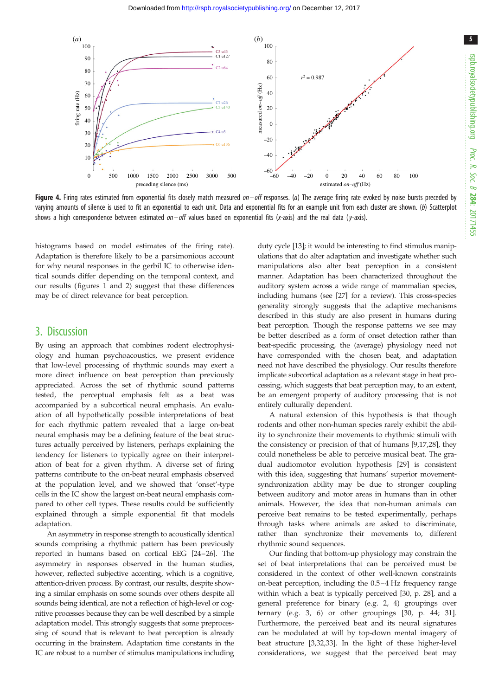<span id="page-4-0"></span>

Figure 4. Firing rates estimated from exponential fits closely match measured on $-off$  responses. (a) The average firing rate evoked by noise bursts preceded by varying amounts of silence is used to fit an exponential to each unit. Data and exponential fits for an example unit from each cluster are shown. (b) Scatterplot shows a high correspondence between estimated on – off values based on exponential fits (x-axis) and the real data (y-axis).

histograms based on model estimates of the firing rate). Adaptation is therefore likely to be a parsimonious account for why neural responses in the gerbil IC to otherwise identical sounds differ depending on the temporal context, and our results (figures [1](#page-1-0) and [2\)](#page-2-0) suggest that these differences may be of direct relevance for beat perception.

### 3. Discussion

By using an approach that combines rodent electrophysiology and human psychoacoustics, we present evidence that low-level processing of rhythmic sounds may exert a more direct influence on beat perception than previously appreciated. Across the set of rhythmic sound patterns tested, the perceptual emphasis felt as a beat was accompanied by a subcortical neural emphasis. An evaluation of all hypothetically possible interpretations of beat for each rhythmic pattern revealed that a large on-beat neural emphasis may be a defining feature of the beat structures actually perceived by listeners, perhaps explaining the tendency for listeners to typically agree on their interpretation of beat for a given rhythm. A diverse set of firing patterns contribute to the on-beat neural emphasis observed at the population level, and we showed that 'onset'-type cells in the IC show the largest on-beat neural emphasis compared to other cell types. These results could be sufficiently explained through a simple exponential fit that models adaptation.

An asymmetry in response strength to acoustically identical sounds comprising a rhythmic pattern has been previously reported in humans based on cortical EEG [\[24](#page-8-0)–[26](#page-8-0)]. The asymmetry in responses observed in the human studies, however, reflected subjective accenting, which is a cognitive, attention-driven process. By contrast, our results, despite showing a similar emphasis on some sounds over others despite all sounds being identical, are not a reflection of high-level or cognitive processes because they can be well described by a simple adaptation model. This strongly suggests that some preprocessing of sound that is relevant to beat perception is already occurring in the brainstem. Adaptation time constants in the IC are robust to a number of stimulus manipulations including

duty cycle [[13](#page-8-0)]; it would be interesting to find stimulus manipulations that do alter adaptation and investigate whether such manipulations also alter beat perception in a consistent manner. Adaptation has been characterized throughout the auditory system across a wide range of mammalian species, including humans (see [\[27\]](#page-8-0) for a review). This cross-species generality strongly suggests that the adaptive mechanisms described in this study are also present in humans during beat perception. Though the response patterns we see may be better described as a form of onset detection rather than beat-specific processing, the (average) physiology need not have corresponded with the chosen beat, and adaptation need not have described the physiology. Our results therefore implicate subcortical adaptation as a relevant stage in beat processing, which suggests that beat perception may, to an extent, be an emergent property of auditory processing that is not entirely culturally dependent.

A natural extension of this hypothesis is that though rodents and other non-human species rarely exhibit the ability to synchronize their movements to rhythmic stimuli with the consistency or precision of that of humans [[9](#page-7-0),[17,28\]](#page-8-0), they could nonetheless be able to perceive musical beat. The gradual audiomotor evolution hypothesis [\[29](#page-8-0)] is consistent with this idea, suggesting that humans' superior movementsynchronization ability may be due to stronger coupling between auditory and motor areas in humans than in other animals. However, the idea that non-human animals can perceive beat remains to be tested experimentally, perhaps through tasks where animals are asked to discriminate, rather than synchronize their movements to, different rhythmic sound sequences.

Our finding that bottom-up physiology may constrain the set of beat interpretations that can be perceived must be considered in the context of other well-known constraints on-beat perception, including the 0.5–4 Hz frequency range within which a beat is typically perceived [\[30](#page-8-0), p. 28], and a general preference for binary (e.g. 2, 4) groupings over ternary (e.g. 3, 6) or other groupings [[30,](#page-8-0) p. 44; [31\]](#page-8-0). Furthermore, the perceived beat and its neural signatures can be modulated at will by top-down mental imagery of beat structure [\[3](#page-7-0)[,32,33](#page-8-0)]. In the light of these higher-level considerations, we suggest that the perceived beat may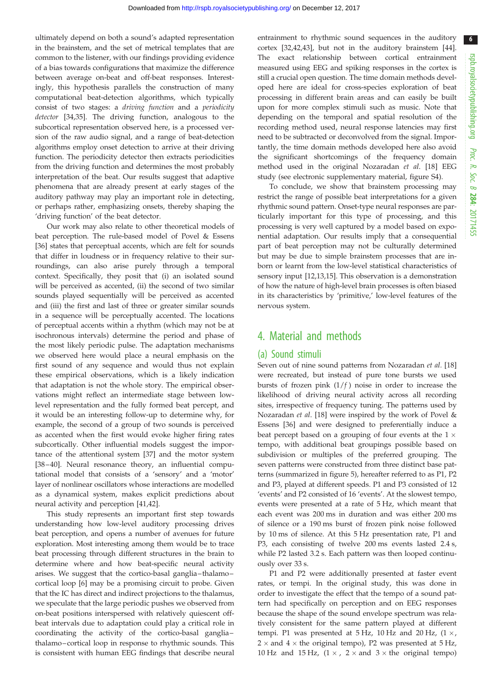ultimately depend on both a sound's adapted representation in the brainstem, and the set of metrical templates that are common to the listener, with our findings providing evidence of a bias towards configurations that maximize the difference between average on-beat and off-beat responses. Interestingly, this hypothesis parallels the construction of many computational beat-detection algorithms, which typically consist of two stages: a driving function and a periodicity detector [\[34,35](#page-8-0)]. The driving function, analogous to the subcortical representation observed here, is a processed version of the raw audio signal, and a range of beat-detection algorithms employ onset detection to arrive at their driving function. The periodicity detector then extracts periodicities from the driving function and determines the most probably interpretation of the beat. Our results suggest that adaptive phenomena that are already present at early stages of the auditory pathway may play an important role in detecting, or perhaps rather, emphasizing onsets, thereby shaping the 'driving function' of the beat detector.

Our work may also relate to other theoretical models of beat perception. The rule-based model of Povel & Essens [\[36](#page-8-0)] states that perceptual accents, which are felt for sounds that differ in loudness or in frequency relative to their surroundings, can also arise purely through a temporal context. Specifically, they posit that (i) an isolated sound will be perceived as accented, (ii) the second of two similar sounds played sequentially will be perceived as accented and (iii) the first and last of three or greater similar sounds in a sequence will be perceptually accented. The locations of perceptual accents within a rhythm (which may not be at isochronous intervals) determine the period and phase of the most likely periodic pulse. The adaptation mechanisms we observed here would place a neural emphasis on the first sound of any sequence and would thus not explain these empirical observations, which is a likely indication that adaptation is not the whole story. The empirical observations might reflect an intermediate stage between lowlevel representation and the fully formed beat percept, and it would be an interesting follow-up to determine why, for example, the second of a group of two sounds is perceived as accented when the first would evoke higher firing rates subcortically. Other influential models suggest the importance of the attentional system [\[37](#page-8-0)] and the motor system [\[38](#page-8-0) –[40\]](#page-8-0). Neural resonance theory, an influential computational model that consists of a 'sensory' and a 'motor' layer of nonlinear oscillators whose interactions are modelled as a dynamical system, makes explicit predictions about neural activity and perception [\[41,42](#page-8-0)].

This study represents an important first step towards understanding how low-level auditory processing drives beat perception, and opens a number of avenues for future exploration. Most interesting among them would be to trace beat processing through different structures in the brain to determine where and how beat-specific neural activity arises. We suggest that the cortico-basal ganglia – thalamo – cortical loop [\[6\]](#page-7-0) may be a promising circuit to probe. Given that the IC has direct and indirect projections to the thalamus, we speculate that the large periodic pushes we observed from on-beat positions interspersed with relatively quiescent offbeat intervals due to adaptation could play a critical role in coordinating the activity of the cortico-basal ganglia – thalamo –cortical loop in response to rhythmic sounds. This is consistent with human EEG findings that describe neural

entrainment to rhythmic sound sequences in the auditory cortex [[32,42,43](#page-8-0)], but not in the auditory brainstem [[44\]](#page-8-0). The exact relationship between cortical entrainment measured using EEG and spiking responses in the cortex is still a crucial open question. The time domain methods developed here are ideal for cross-species exploration of beat processing in different brain areas and can easily be built upon for more complex stimuli such as music. Note that depending on the temporal and spatial resolution of the recording method used, neural response latencies may first need to be subtracted or deconvolved from the signal. Importantly, the time domain methods developed here also avoid the significant shortcomings of the frequency domain method used in the original Nozaradan et al. [[18\]](#page-8-0) EEG study (see electronic supplementary material, figure S4).

To conclude, we show that brainstem processing may restrict the range of possible beat interpretations for a given rhythmic sound pattern. Onset-type neural responses are particularly important for this type of processing, and this processing is very well captured by a model based on exponential adaptation. Our results imply that a consequential part of beat perception may not be culturally determined but may be due to simple brainstem processes that are inborn or learnt from the low-level statistical characteristics of sensory input [[12,13,15](#page-8-0)]. This observation is a demonstration of how the nature of high-level brain processes is often biased in its characteristics by 'primitive,' low-level features of the nervous system.

# 4. Material and methods

#### (a) Sound stimuli

Seven out of nine sound patterns from Nozaradan et al. [[18\]](#page-8-0) were recreated, but instead of pure tone bursts we used bursts of frozen pink  $(1/f)$  noise in order to increase the likelihood of driving neural activity across all recording sites, irrespective of frequency tuning. The patterns used by Nozaradan et al. [[18\]](#page-8-0) were inspired by the work of Povel & Essens [[36\]](#page-8-0) and were designed to preferentially induce a beat percept based on a grouping of four events at the  $1 \times$ tempo, with additional beat groupings possible based on subdivision or multiples of the preferred grouping. The seven patterns were constructed from three distinct base patterns (summarized in [figure 5](#page-6-0)), hereafter referred to as P1, P2 and P3, played at different speeds. P1 and P3 consisted of 12 'events' and P2 consisted of 16 'events'. At the slowest tempo, events were presented at a rate of 5 Hz, which meant that each event was 200 ms in duration and was either 200 ms of silence or a 190 ms burst of frozen pink noise followed by 10 ms of silence. At this 5 Hz presentation rate, P1 and P3, each consisting of twelve 200 ms events lasted 2.4 s, while P2 lasted 3.2 s. Each pattern was then looped continuously over 33 s.

P1 and P2 were additionally presented at faster event rates, or tempi. In the original study, this was done in order to investigate the effect that the tempo of a sound pattern had specifically on perception and on EEG responses because the shape of the sound envelope spectrum was relatively consistent for the same pattern played at different tempi. P1 was presented at  $5 \text{ Hz}$ , 10 Hz and 20 Hz,  $(1 \times,$  $2 \times$  and  $4 \times$  the original tempo), P2 was presented at 5 Hz, 10 Hz and 15 Hz,  $(1 \times$ , 2  $\times$  and 3  $\times$  the original tempo)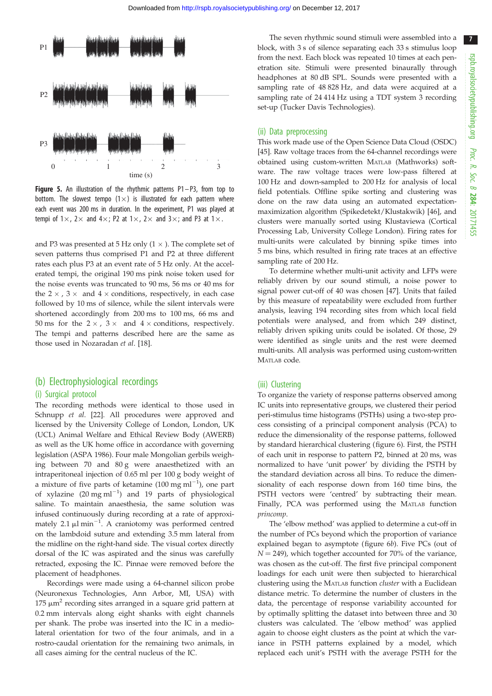7

<span id="page-6-0"></span>

Figure 5. An illustration of the rhythmic patterns P1-P3, from top to bottom. The slowest tempo  $(1\times)$  is illustrated for each pattern where each event was 200 ms in duration. In the experiment, P1 was played at tempi of 1 $\times$ , 2 $\times$  and 4 $\times$ ; P2 at 1 $\times$ , 2 $\times$  and 3 $\times$ ; and P3 at 1 $\times$ .

and P3 was presented at 5 Hz only (1  $\times$  ). The complete set of seven patterns thus comprised P1 and P2 at three different rates each plus P3 at an event rate of 5 Hz only. At the accelerated tempi, the original 190 ms pink noise token used for the noise events was truncated to 90 ms, 56 ms or 40 ms for the 2  $\times$  , 3  $\times$  and 4  $\times$  conditions, respectively, in each case followed by 10 ms of silence, while the silent intervals were shortened accordingly from 200 ms to 100 ms, 66 ms and 50 ms for the  $2 \times$ ,  $3 \times$  and  $4 \times$  conditions, respectively. The tempi and patterns described here are the same as those used in Nozaradan et al. [[18\]](#page-8-0).

#### (b) Electrophysiological recordings

#### (i) Surgical protocol

The recording methods were identical to those used in Schnupp et al. [[22\]](#page-8-0). All procedures were approved and licensed by the University College of London, London, UK (UCL) Animal Welfare and Ethical Review Body (AWERB) as well as the UK home office in accordance with governing legislation (ASPA 1986). Four male Mongolian gerbils weighing between 70 and 80 g were anaesthetized with an intraperitoneal injection of 0.65 ml per 100 g body weight of a mixture of five parts of ketamine (100 mg ml $^{-1}$ ), one part of xylazine  $(20 \text{ mg ml}^{-1})$  and 19 parts of physiological saline. To maintain anaesthesia, the same solution was infused continuously during recording at a rate of approximately 2.1  $\mu$ l min<sup>-1</sup>. A craniotomy was performed centred on the lambdoid suture and extending 3.5 mm lateral from the midline on the right-hand side. The visual cortex directly dorsal of the IC was aspirated and the sinus was carefully retracted, exposing the IC. Pinnae were removed before the placement of headphones.

Recordings were made using a 64-channel silicon probe (Neuronexus Technologies, Ann Arbor, MI, USA) with  $175 \mu m^2$  recording sites arranged in a square grid pattern at 0.2 mm intervals along eight shanks with eight channels per shank. The probe was inserted into the IC in a mediolateral orientation for two of the four animals, and in a rostro-caudal orientation for the remaining two animals, in all cases aiming for the central nucleus of the IC.

The seven rhythmic sound stimuli were assembled into a block, with 3 s of silence separating each 33 s stimulus loop from the next. Each block was repeated 10 times at each penetration site. Stimuli were presented binaurally through headphones at 80 dB SPL. Sounds were presented with a sampling rate of 48 828 Hz, and data were acquired at a sampling rate of 24 414 Hz using a TDT system 3 recording set-up (Tucker Davis Technologies).

#### (ii) Data preprocessing

This work made use of the Open Science Data Cloud (OSDC) [[45\]](#page-8-0). Raw voltage traces from the 64-channel recordings were obtained using custom-written MATLAB (Mathworks) software. The raw voltage traces were low-pass filtered at 100 Hz and down-sampled to 200 Hz for analysis of local field potentials. Offline spike sorting and clustering was done on the raw data using an automated expectationmaximization algorithm (Spikedetekt/Klustakwik) [\[46](#page-8-0)], and clusters were manually sorted using Klustaviewa (Cortical Processing Lab, University College London). Firing rates for multi-units were calculated by binning spike times into 5 ms bins, which resulted in firing rate traces at an effective sampling rate of 200 Hz.

To determine whether multi-unit activity and LFPs were reliably driven by our sound stimuli, a noise power to signal power cut-off of 40 was chosen [[47\]](#page-8-0). Units that failed by this measure of repeatability were excluded from further analysis, leaving 194 recording sites from which local field potentials were analysed, and from which 249 distinct, reliably driven spiking units could be isolated. Of those, 29 were identified as single units and the rest were deemed multi-units. All analysis was performed using custom-written MATLAB code.

#### (iii) Clustering

To organize the variety of response patterns observed among IC units into representative groups, we clustered their period peri-stimulus time histograms (PSTHs) using a two-step process consisting of a principal component analysis (PCA) to reduce the dimensionality of the response patterns, followed by standard hierarchical clustering ([figure 6\)](#page-7-0). First, the PSTH of each unit in response to pattern P2, binned at 20 ms, was normalized to have 'unit power' by dividing the PSTH by the standard deviation across all bins. To reduce the dimensionality of each response down from 160 time bins, the PSTH vectors were 'centred' by subtracting their mean. Finally, PCA was performed using the MATLAB function princomp.

The 'elbow method' was applied to determine a cut-off in the number of PCs beyond which the proportion of variance explained began to asymptote ([figure 6](#page-7-0)b). Five PCs (out of  $N = 249$ ), which together accounted for 70% of the variance, was chosen as the cut-off. The first five principal component loadings for each unit were then subjected to hierarchical clustering using the MATLAB function cluster with a Euclidean distance metric. To determine the number of clusters in the data, the percentage of response variability accounted for by optimally splitting the dataset into between three and 30 clusters was calculated. The 'elbow method' was applied again to choose eight clusters as the point at which the variance in PSTH patterns explained by a model, which replaced each unit's PSTH with the average PSTH for the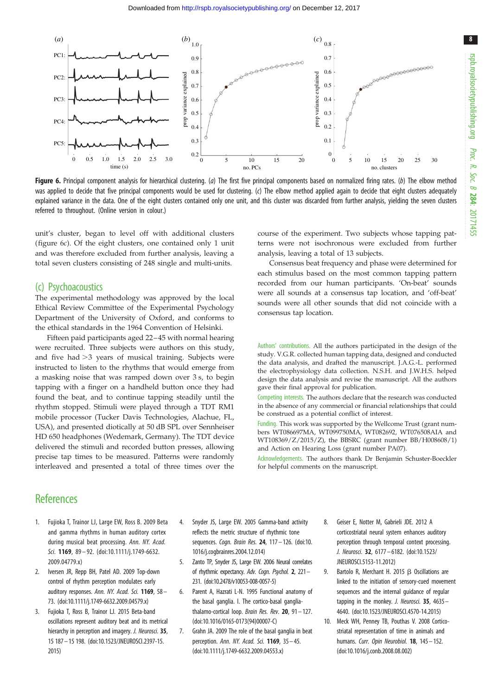8

<span id="page-7-0"></span>

Figure 6. Principal component analysis for hierarchical clustering. (a) The first five principal components based on normalized firing rates. (b) The elbow method was applied to decide that five principal components would be used for clustering. (c) The elbow method applied again to decide that eight clusters adequately explained variance in the data. One of the eight clusters contained only one unit, and this cluster was discarded from further analysis, yielding the seven clusters referred to throughout. (Online version in colour.)

unit's cluster, began to level off with additional clusters (figure 6c). Of the eight clusters, one contained only 1 unit and was therefore excluded from further analysis, leaving a total seven clusters consisting of 248 single and multi-units.

#### (c) Psychoacoustics

The experimental methodology was approved by the local Ethical Review Committee of the Experimental Psychology Department of the University of Oxford, and conforms to the ethical standards in the 1964 Convention of Helsinki.

Fifteen paid participants aged 22-45 with normal hearing were recruited. Three subjects were authors on this study, and five had  $>3$  years of musical training. Subjects were instructed to listen to the rhythms that would emerge from a masking noise that was ramped down over 3 s, to begin tapping with a finger on a handheld button once they had found the beat, and to continue tapping steadily until the rhythm stopped. Stimuli were played through a TDT RM1 mobile processor (Tucker Davis Technologies, Alachue, FL, USA), and presented diotically at 50 dB SPL over Sennheiser HD 650 headphones (Wedemark, Germany). The TDT device delivered the stimuli and recorded button presses, allowing precise tap times to be measured. Patterns were randomly interleaved and presented a total of three times over the

course of the experiment. Two subjects whose tapping patterns were not isochronous were excluded from further analysis, leaving a total of 13 subjects.

Consensus beat frequency and phase were determined for each stimulus based on the most common tapping pattern recorded from our human participants. 'On-beat' sounds were all sounds at a consensus tap location, and 'off-beat' sounds were all other sounds that did not coincide with a consensus tap location.

Authors' contributions. All the authors participated in the design of the study. V.G.R. collected human tapping data, designed and conducted the data analysis, and drafted the manuscript. J.A.G.-L. performed the electrophysiology data collection. N.S.H. and J.W.H.S. helped design the data analysis and revise the manuscript. All the authors gave their final approval for publication.

Competing interests. The authors declare that the research was conducted in the absence of any commercial or financial relationships that could be construed as a potential conflict of interest.

Funding. This work was supported by the Wellcome Trust (grant numbers WT086697MA, WT099750MA, WT082692, WT076508AIA and WT108369/Z/2015/Z), the BBSRC (grant number BB/H008608/1) and Action on Hearing Loss (grant number PA07).

Acknowledgements. The authors thank Dr Benjamin Schuster-Boeckler for helpful comments on the manuscript.

# **References**

- 1. Fujioka T, Trainor LJ, Large EW, Ross B. 2009 Beta and gamma rhythms in human auditory cortex during musical beat processing. Ann. NY. Acad. Sci. 1169, 89-92. [\(doi:10.1111/j.1749-6632.](http://dx.doi.org/10.1111/j.1749-6632.2009.04779.x) [2009.04779.x](http://dx.doi.org/10.1111/j.1749-6632.2009.04779.x))
- 2. Iversen JR, Repp BH, Patel AD. 2009 Top-down control of rhythm perception modulates early auditory responses. Ann. NY. Acad. Sci. 1169, 58-73. ([doi:10.1111/j.1749-6632.2009.04579.x\)](http://dx.doi.org/10.1111/j.1749-6632.2009.04579.x)
- 3. Fujioka T, Ross B, Trainor LJ. 2015 Beta-band oscillations represent auditory beat and its metrical hierarchy in perception and imagery. J. Neurosci. 35, 15 187– 15 198. ([doi:10.1523/JNEUROSCI.2397-15.](http://dx.doi.org/10.1523/JNEUROSCI.2397-15.2015) [2015\)](http://dx.doi.org/10.1523/JNEUROSCI.2397-15.2015)
- 4. Snyder JS, Large EW. 2005 Gamma-band activity reflects the metric structure of rhythmic tone sequences. Cogn. Brain Res. 24, 117-126. [\(doi:10.](http://dx.doi.org/10.1016/j.cogbrainres.2004.12.014) [1016/j.cogbrainres.2004.12.014\)](http://dx.doi.org/10.1016/j.cogbrainres.2004.12.014)
- 5. Zanto TP, Snyder JS, Large EW. 2006 Neural correlates of rhythmic expectancy. Adv. Cogn. Psychol. 2, 221– 231. [\(doi:10.2478/v10053-008-0057-5](http://dx.doi.org/10.2478/v10053-008-0057-5))
- 6. Parent A, Hazrati L-N. 1995 Functional anatomy of the basal ganglia. I. The cortico-basal gangliathalamo-cortical loop. Brain Res. Rev.  $20$ ,  $91 - 127$ . [\(doi:10.1016/0165-0173\(94\)00007-C](http://dx.doi.org/10.1016/0165-0173(94)00007-C))
- 7. Grahn JA. 2009 The role of the basal ganglia in beat perception. Ann. NY. Acad. Sci. 1169, 35-45. [\(doi:10.1111/j.1749-6632.2009.04553.x\)](http://dx.doi.org/10.1111/j.1749-6632.2009.04553.x)
- 8. Geiser E, Notter M, Gabrieli JDE. 2012 A corticostriatal neural system enhances auditory perception through temporal context processing. J. Neurosci. 32, 6177 – 6182. [\(doi:10.1523/](http://dx.doi.org/10.1523/JNEUROSCI.5153-11.2012) [JNEUROSCI.5153-11.2012](http://dx.doi.org/10.1523/JNEUROSCI.5153-11.2012))
- 9. Bartolo R, Merchant H. 2015  $\beta$  Oscillations are linked to the initiation of sensory-cued movement sequences and the internal guidance of regular tapping in the monkey. J. Neurosci.  $35$ , 4635 -4640. [\(doi:10.1523/JNEUROSCI.4570-14.2015](http://dx.doi.org/10.1523/JNEUROSCI.4570-14.2015))
- 10. Meck WH, Penney TB, Pouthas V. 2008 Corticostriatal representation of time in animals and humans. Curr. Opin Neurobiol. **18**, 145 - 152. ([doi:10.1016/j.conb.2008.08.002](http://dx.doi.org/10.1016/j.conb.2008.08.002))